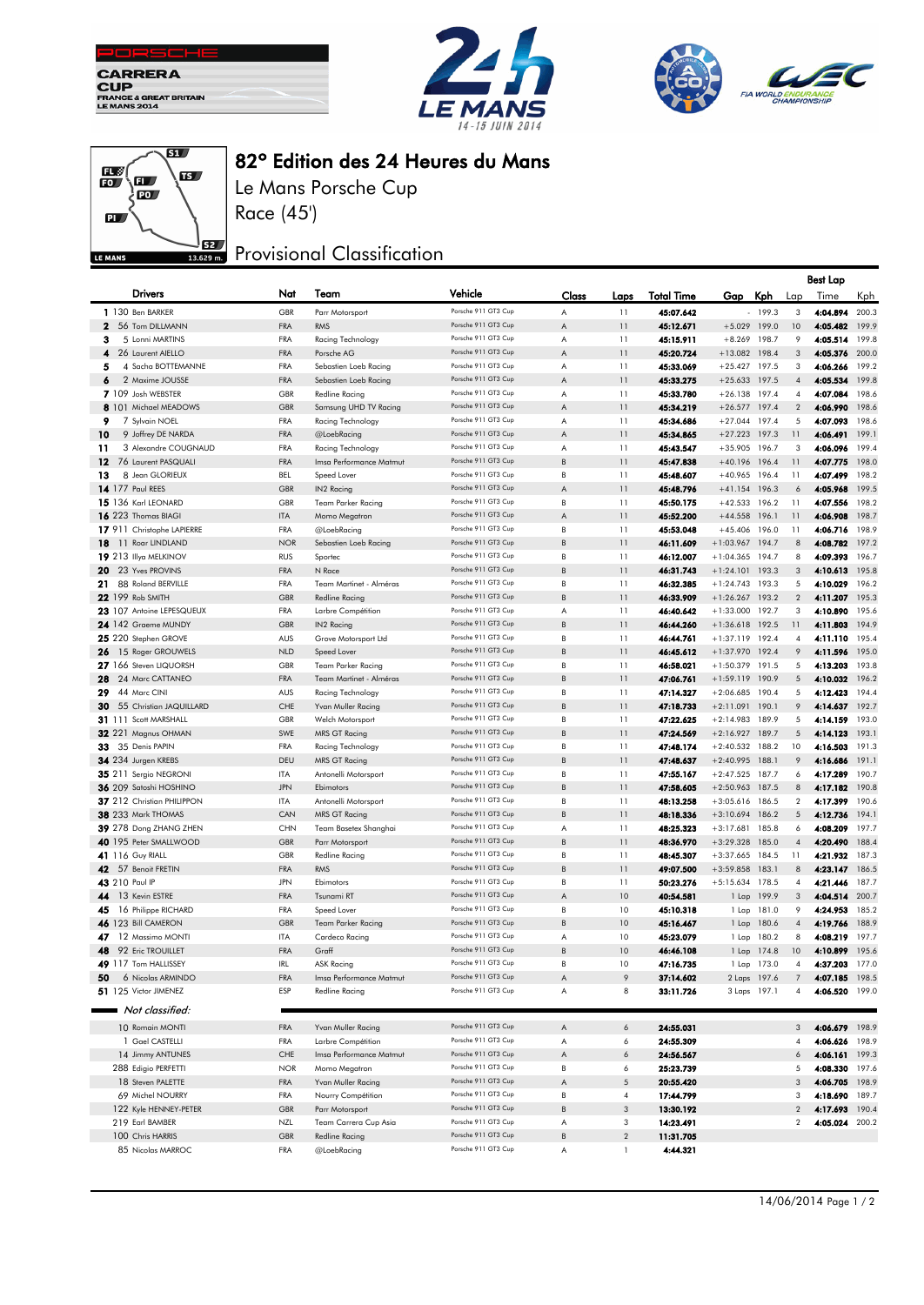







## 82º Edition des 24 Heures du Mans

Le Mans Porsche Cup Race (45')

## **J**B2 Provisional Classification

|                                                         |                          |                                        |                                            |        |                |                        |                                    |              |                         | Best Lap             |                |
|---------------------------------------------------------|--------------------------|----------------------------------------|--------------------------------------------|--------|----------------|------------------------|------------------------------------|--------------|-------------------------|----------------------|----------------|
| Drivers                                                 | Nat                      | Team                                   | Vehicle                                    | Class  | Laps           | <b>Total Time</b>      | Gap                                | Kph.         | Lap                     | Time                 | Kph            |
| 1 130 Ben BARKER                                        | GBR                      | Parr Motorsport                        | Porsche 911 GT3 Cup                        | A      | 11             | 45:07.642              |                                    | 199.3        | 3                       | 4:04.894             | 200.3          |
| 2 56 Tom DILLMANN                                       | FRA                      | <b>RMS</b>                             | Porsche 911 GT3 Cup                        | Α      | 11             | 45:12.671              | +5.029 199.0                       |              | 10                      | 4:05.482             | 199.9          |
| 5 Lonni MARTINS<br>з                                    | FRA                      | Racing Technology                      | Porsche 911 GT3 Cup                        | Α      | 11             | 45:15.911              | $+8.269$ 198.7                     |              | 9                       | 4:05.514             | 199.8          |
| 26 Laurent AIELLO<br>4                                  | <b>FRA</b>               | Porsche AG                             | Porsche 911 GT3 Cup                        | Α      | 11             | 45:20.724              | $+13.082$ 198.4                    |              | 3                       | 4:05.376             | 200.0          |
| 4 Sacha BOTTEMANNE<br>5                                 | <b>FRA</b>               | Sebastien Loeb Racing                  | Porsche 911 GT3 Cup                        | Α      | 11             | 45:33.069              | $+25.427$ 197.5                    |              | 3                       | 4:06.266             | 199.2          |
| 6<br>2 Maxime JOUSSE                                    | <b>FRA</b>               | Sebastien Loeb Racing                  | Porsche 911 GT3 Cup                        | Α      | 11             | 45:33.275              | $+25.633$ 197.5                    |              | $\overline{4}$          | 4:05.534             | 199.8          |
| 7 109 Josh WEBSTER                                      | GBR                      | <b>Redline Racing</b>                  | Porsche 911 GT3 Cup                        | Α      | 11             | 45:33.780              | $+26.138$ 197.4                    |              | 4                       | 4:07.084             | 198.6          |
| 8 101 Michael MEADOWS                                   | GBR                      | Samsung UHD TV Racing                  | Porsche 911 GT3 Cup                        | Α      | 11             | 45:34.219              | $+26.577$ 197.4                    |              | $\overline{2}$          | 4:06.990             | 198.6          |
| 9<br>7 Sylvain NOEL                                     | <b>FRA</b>               | Racing Technology                      | Porsche 911 GT3 Cup<br>Porsche 911 GT3 Cup | Α      | 11             | 45:34.686              | $+27.044$ 197.4                    |              | 5                       | 4:07.093             | 198.6          |
| 10<br>9 Joffrey DE NARDA<br>3 Alexandre COUGNAUD        | <b>FRA</b>               | @LoebRacing<br>Racing Technology       | Porsche 911 GT3 Cup                        | Α      | 11<br>11       | 45:34.865              | $+27.223$ 197.3                    |              | 11                      | 4:06.491             | 199.1<br>199.4 |
| 11<br>12<br>76 Laurent PASQUALI                         | <b>FRA</b><br><b>FRA</b> |                                        | Porsche 911 GT3 Cup                        | Α<br>B | 11             | 45:43.547<br>45:47.838 | $+35.905$ 196.7<br>$+40.196$ 196.4 |              | 3<br>11                 | 4:06.096<br>4:07.775 | 198.0          |
| 8 Jean GLORIEUX<br>13                                   | <b>BEL</b>               | Imsa Performance Matmut<br>Speed Lover | Porsche 911 GT3 Cup                        | В      | 11             | 45:48.607              | $+40.965$ 196.4                    |              | 11                      | 4:07.499             | 198.2          |
| 14 177 Paul REES                                        | GBR                      | IN2 Racing                             | Porsche 911 GT3 Cup                        | Α      | 11             | 45:48.796              | $+41.154$ 196.3                    |              | 6                       | 4:05.968             | 199.5          |
| 15 136 Karl LEONARD                                     | GBR                      | <b>Team Parker Racing</b>              | Porsche 911 GT3 Cup                        | В      | 11             | 45:50.175              | $+42.533$ 196.2                    |              | 11                      | 4:07.556             | 198.2          |
| 16 223 Thomas BIAGI                                     | <b>ITA</b>               | Momo Megatron                          | Porsche 911 GT3 Cup                        | A      | 11             | 45:52.200              | $+44.558$ 196.1                    |              | 11                      | 4:06.908             | 198.7          |
| 17 911 Christophe LAPIERRE                              | <b>FRA</b>               | @LoebRacing                            | Porsche 911 GT3 Cup                        | В      | 11             | 45:53.048              | +45.406 196.0                      |              | 11                      | 4:06.716             | 198.9          |
| 11 Roar LINDLAND<br>18                                  | <b>NOR</b>               | Sebastien Loeb Racing                  | Porsche 911 GT3 Cup                        | B      | 11             | 46:11.609              | $+1:03.967$ 194.7                  |              | 8                       | 4:08.782             | 197.2          |
| 19 213 Illya MELKINOV                                   | <b>RUS</b>               | Sportec                                | Porsche 911 GT3 Cup                        | В      | 11             | 46:12.007              | $+1:04.365$ 194.7                  |              | 8                       | 4:09.393             | 196.7          |
| 23 Yves PROVINS<br>20                                   | <b>FRA</b>               | N Race                                 | Porsche 911 GT3 Cup                        | B      | 11             | 46:31.743              | $+1:24.101$ 193.3                  |              | 3                       | 4:10.613             | 195.8          |
| 88 Roland BERVILLE<br>21.                               | <b>FRA</b>               | Team Martinet - Alméras                | Porsche 911 GT3 Cup                        | В      | 11             | 46:32.385              | $+1:24.743$ 193.3                  |              | 5                       | 4:10.029             | 196.2          |
| 22 199 Rob SMITH                                        | <b>GBR</b>               | <b>Redline Racing</b>                  | Porsche 911 GT3 Cup                        | B      | 11             | 46:33.909              | $+1:26.267$ 193.2                  |              | $\overline{2}$          | 4:11.207             | 195.3          |
| 23 107 Antoine LEPESQUEUX                               | <b>FRA</b>               | Larbre Compétition                     | Porsche 911 GT3 Cup                        | Α      | 11             | 46:40.642              | $+1:33.000$ 192.7                  |              | 3                       | 4:10.890             | 195.6          |
| 24 142 Graeme MUNDY                                     | <b>GBR</b>               | IN2 Racing                             | Porsche 911 GT3 Cup                        | B      | 11             | 46:44.260              | $+1:36.618$ 192.5                  |              | 11                      | 4:11.803             | 194.9          |
| 25 220 Stephen GROVE                                    | AUS                      | Grove Motorsport Ltd                   | Porsche 911 GT3 Cup                        | В      | 11             | 46:44.761              | $+1:37.119$ 192.4                  |              | $\overline{4}$          | 4:11.110             | 195.4          |
| 26 15 Roger GROUWELS                                    | <b>NLD</b>               | Speed Lover                            | Porsche 911 GT3 Cup                        | B      | 11             | 46:45.612              | +1:37.970 192.4                    |              | 9                       | 4:11.596             | 195.0          |
| 27 166 Steven LIQUORSH                                  | GBR                      | <b>Team Parker Racing</b>              | Porsche 911 GT3 Cup                        | В      | 11             | 46:58.021              | $+1:50.379$ 191.5                  |              | 5                       | 4:13.203             | 193.8          |
| 28 24 Marc CATTANEO                                     | <b>FRA</b>               | Team Martinet - Alméras                | Porsche 911 GT3 Cup                        | B      | 11             | 47:06.761              | +1:59.119 190.9                    |              | 5                       | 4:10.032             | 196.2          |
| 29<br>44 Marc CINI                                      | AUS                      | Racing Technology                      | Porsche 911 GT3 Cup                        | В      | 11             | 47:14.327              | $+2:06.685$ 190.4                  |              | 5                       | 4:12.423             | 194.4          |
| 30<br>55 Christian JAQUILLARD                           | CHE                      | Yvan Muller Racing                     | Porsche 911 GT3 Cup                        | B      | 11             | 47:18.733              | $+2:11.091$ 190.1                  |              | 9                       | 4:14.637             | 192.7          |
| 31 111 Scott MARSHALL                                   | GBR                      | Welch Motorsport                       | Porsche 911 GT3 Cup                        | В      | 11             | 47:22.625              | $+2:14.983$ 189.9                  |              | 5                       | 4:14.159             | 193.0          |
| 32 221 Magnus OHMAN                                     | SWE                      | MRS GT Racing                          | Porsche 911 GT3 Cup                        | B      | 11             | 47:24.569              | $+2:16.927$                        | 189.7        | 5                       | 4:14.123             | 193.1          |
| 33 35 Denis PAPIN                                       | <b>FRA</b>               | Racing Technology                      | Porsche 911 GT3 Cup                        | B      | 11             | 47:48.174              | $+2:40.532$ 188.2                  |              | 10                      | 4:16.503             | 191.3          |
| 34 234 Jurgen KREBS                                     | DEU                      | <b>MRS GT Racing</b>                   | Porsche 911 GT3 Cup                        | B      | 11             | 47:48.637              | $+2:40.995$ 188.1                  |              | 9                       | 4:16.686             | 191.1          |
| 35 211 Sergio NEGRONI                                   | ITA                      | Antonelli Motorsport                   | Porsche 911 GT3 Cup<br>Porsche 911 GT3 Cup | В      | 11             | 47:55.167              | $+2:47.525$ 187.7                  |              | 6                       | 4:17.289             | 190.7          |
| 36 209 Satoshi HOSHINO                                  | <b>JPN</b>               | Ebimotors                              | Porsche 911 GT3 Cup                        | B<br>В | 11<br>11       | 47:58.605              | $+2:50.963$ 187.5                  |              | 8                       | 4:17.182             | 190.8<br>190.6 |
| 37 212 Christian PHILIPPON<br><b>38</b> 233 Mark THOMAS | ITA<br>CAN               | Antonelli Motorsport                   | Porsche 911 GT3 Cup                        | B      | 11             | 48:13.258<br>48:18.336 | $+3:05.616$ 186.5                  | 186.2        | 2<br>5                  | 4:17.399<br>4:12.736 | 194.1          |
| 39 278 Dong ZHANG ZHEN                                  | <b>CHN</b>               | MRS GT Racing<br>Team Basetex Shanghai | Porsche 911 GT3 Cup                        | Α      | 11             | 48:25.323              | $+3:10.694$<br>$+3:17.681$         | 185.8        | 6                       | 4:08.209             | 197.7          |
| 40 195 Peter SMALLWOOD                                  | <b>GBR</b>               | Parr Motorsport                        | Porsche 911 GT3 Cup                        | B      | 11             | 48:36.970              | +3:29.328 185.0                    |              | $\overline{\mathbf{4}}$ | 4:20.490             | 188.4          |
| 41 116 Guy RIALL                                        | <b>GBR</b>               | <b>Redline Racing</b>                  | Porsche 911 GT3 Cup                        | В      | 11             | 48:45.307              | $+3:37.665$ 184.5                  |              | 11                      | 4:21.932             | 187.3          |
| 42 57 Benoit FRETIN                                     | <b>FRA</b>               | <b>RMS</b>                             | Porsche 911 GT3 Cup                        | B      | 11             | 49:07.500              | +3:59.858 183.1                    |              | 8                       | 4:23.147             | 186.5          |
| 43 210 Paul IP                                          | <b>JPN</b>               | Ebimotors                              | Porsche 911 GT3 Cup                        | В      | 11             | 50:23.276              | $+5:15.634$ 178.5                  |              | 4                       | 4:21.446             | 187.7          |
| 13 Kevin ESTRE<br>44                                    | <b>FRA</b>               | Tsunami RT                             | Porsche 911 GT3 Cup                        | Α      | 10             | 40:54.581              |                                    | 1 Lap 199.9  | 3                       | 4:04.514             | 200.7          |
| 16 Philippe RICHARD<br>45                               | <b>FRA</b>               | Speed Lover                            | Porsche 911 GT3 Cup                        | В      | 10             | 45:10.318              |                                    | 1 Lap 181.0  | 9                       | 4:24.953             | 185.2          |
| 46 123 Bill CAMERON                                     | <b>GBR</b>               | <b>Team Parker Racing</b>              | Porsche 911 GT3 Cup                        | B      | 10             | 45:16.467              |                                    | 1 Lap 180.6  | $\overline{4}$          | 4:19.766             | 188.9          |
| 47<br>12 Massimo MONTI                                  | <b>ITA</b>               | Cardeco Racing                         | Porsche 911 GT3 Cup                        | Α      | 10             | 45:23.079              |                                    | 1 Lap 180.2  | 8                       | 4:08.219             | 197.7          |
| 48 92 Eric TROUILLET                                    | <b>FRA</b>               | Graff                                  | Porsche 911 GT3 Cup                        | B      | 10             | 46:46.108              |                                    | 1 Lap 174.8  | 10                      | 4:10.899 195.6       |                |
| 49 117 Tom HALLISSEY                                    | IRL                      | <b>ASK Racing</b>                      | Porsche 911 GT3 Cup                        |        | 10             | 47:16.735              |                                    | 1 Lap 173.0  |                         | 4:37.203 177.0       |                |
| 6 Nicolas ARMINDO<br>50                                 | <b>FRA</b>               | Imsa Performance Matmut                | Porsche 911 GT3 Cup                        | Α      | 9              | 37:14.602              |                                    | 2 Laps 197.6 |                         | 4:07.185 198.5       |                |
| 51 125 Victor JIMENEZ                                   | ESP                      | <b>Redline Racing</b>                  | Porsche 911 GT3 Cup                        | Α      | 8              | 33:11.726              |                                    | 3 Laps 197.1 | 4                       | 4:06.520 199.0       |                |
| Not classified:                                         |                          |                                        |                                            |        |                |                        |                                    |              |                         |                      |                |
| 10 Romain MONTI                                         | FRA                      | Yvan Muller Racing                     | Porsche 911 GT3 Cup                        | Α      | 6              | 24:55.031              |                                    |              | 3                       | 4:06.679             | 198.9          |
| 1 Gael CASTELLI                                         | <b>FRA</b>               | Larbre Compétition                     | Porsche 911 GT3 Cup                        | Α      | 6              | 24:55.309              |                                    |              | 4                       | 4:06.626 198.9       |                |
| 14 Jimmy ANTUNES                                        | CHE                      | Imsa Performance Matmut                | Porsche 911 GT3 Cup                        | Α      | 6              | 24:56.567              |                                    |              |                         | 4:06.161 199.3       |                |
| 288 Edigio PERFETTI                                     | <b>NOR</b>               | Momo Megatron                          | Porsche 911 GT3 Cup                        | В      | 6              | 25:23.739              |                                    |              | 5                       | 4:08.330 197.6       |                |
| 18 Steven PALETTE                                       | FRA                      | Yvan Muller Racing                     | Porsche 911 GT3 Cup                        | Α      | 5              | 20:55.420              |                                    |              | 3                       | 4:06.705 198.9       |                |
| 69 Michel NOURRY                                        | <b>FRA</b>               | Nourry Compétition                     | Porsche 911 GT3 Cup                        | В      | $\overline{4}$ | 17:44.799              |                                    |              | 3                       | 4:18.690 189.7       |                |
| 122 Kyle HENNEY-PETER                                   | GBR                      | Parr Motorsport                        | Porsche 911 GT3 Cup                        | B      | 3              | 13:30.192              |                                    |              | $\overline{c}$          | 4:17.693 190.4       |                |
| 219 Earl BAMBER                                         | NZL                      | Team Carrera Cup Asia                  | Porsche 911 GT3 Cup                        | Α      | 3              | 14:23.491              |                                    |              | 2                       | 4:05.024 200.2       |                |
| 100 Chris HARRIS                                        | <b>GBR</b>               | <b>Redline Racing</b>                  | Porsche 911 GT3 Cup                        | B      | $\overline{2}$ | 11:31.705              |                                    |              |                         |                      |                |
| 85 Nicolas MARROC                                       | <b>FRA</b>               | @LoebRacing                            | Porsche 911 GT3 Cup                        | Α      | $\mathbf{1}$   | 4:44.321               |                                    |              |                         |                      |                |
|                                                         |                          |                                        |                                            |        |                |                        |                                    |              |                         |                      |                |